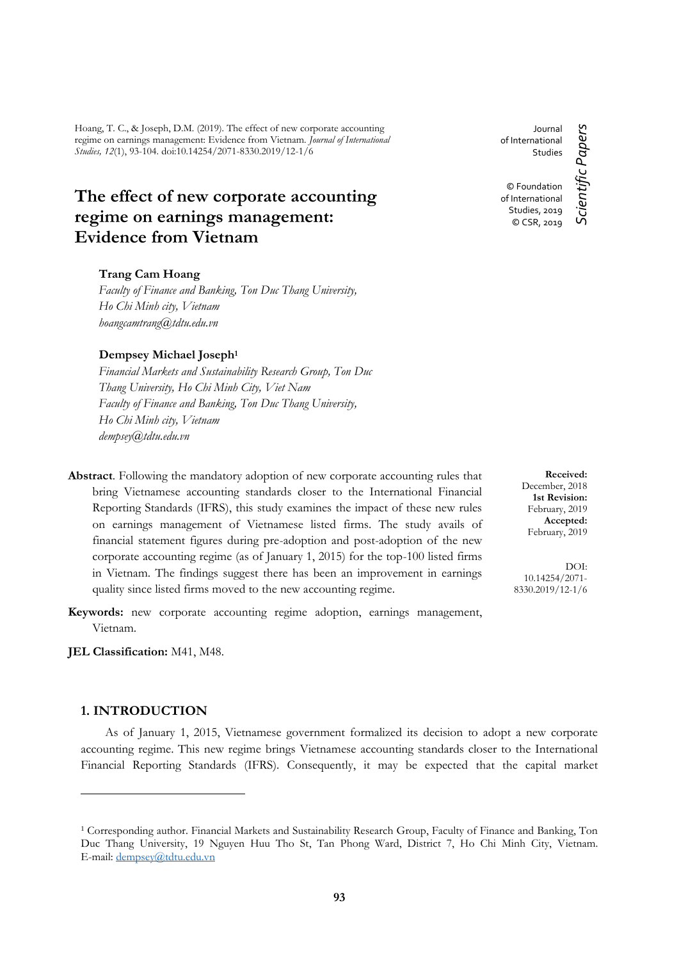Hoang, T. C., & Joseph, D.M. (2019). The effect of new corporate accounting regime on earnings management: Evidence from Vietnam. *Journal of International Studies, 12*(1), 93-104. doi:10.14254/2071-8330.2019/12-1/6

# **The effect of new corporate accounting regime on earnings management: Evidence from Vietnam**

# **Trang Cam Hoang**

*Faculty of Finance and Banking, Ton Duc Thang University, Ho Chi Minh city, Vietnam hoangcamtrang@tdtu.edu.vn*

### **Dempsey Michael Joseph<sup>1</sup>**

*Financial Markets and Sustainability Research Group, Ton Duc Thang University, Ho Chi Minh City, Viet Nam Faculty of Finance and Banking, Ton Duc Thang University, Ho Chi Minh city, Vietnam dempsey@tdtu.edu.vn*

- **Abstract**. Following the mandatory adoption of new corporate accounting rules that bring Vietnamese accounting standards closer to the International Financial Reporting Standards (IFRS), this study examines the impact of these new rules on earnings management of Vietnamese listed firms. The study avails of financial statement figures during pre-adoption and post-adoption of the new corporate accounting regime (as of January 1, 2015) for the top-100 listed firms in Vietnam. The findings suggest there has been an improvement in earnings quality since listed firms moved to the new accounting regime.
- **Keywords:** new corporate accounting regime adoption, earnings management, Vietnam.

**JEL Classification:** M41, M48.

# **1. INTRODUCTION**

<u>.</u>

As of January 1, 2015, Vietnamese government formalized its decision to adopt a new corporate accounting regime. This new regime brings Vietnamese accounting standards closer to the International Financial Reporting Standards (IFRS). Consequently, it may be expected that the capital market

Journal Scientific Papers *Scientific Papers* of International Studies © Foundation of International Studies, 2019 © CSR, 2019

> **Received:** December, 2018 **1st Revision:** February, 2019 **Accepted:** February, 2019

DOI: 10.14254/2071- 8330.2019/12-1/6

<sup>&</sup>lt;sup>1</sup> Corresponding author. Financial Markets and Sustainability Research Group, Faculty of Finance and Banking, Ton Duc Thang University, 19 Nguyen Huu Tho St, Tan Phong Ward, District 7, Ho Chi Minh City, Vietnam. E-mail[: dempsey@tdtu.edu.vn](mailto:dempsey@tdtu.edu.vn)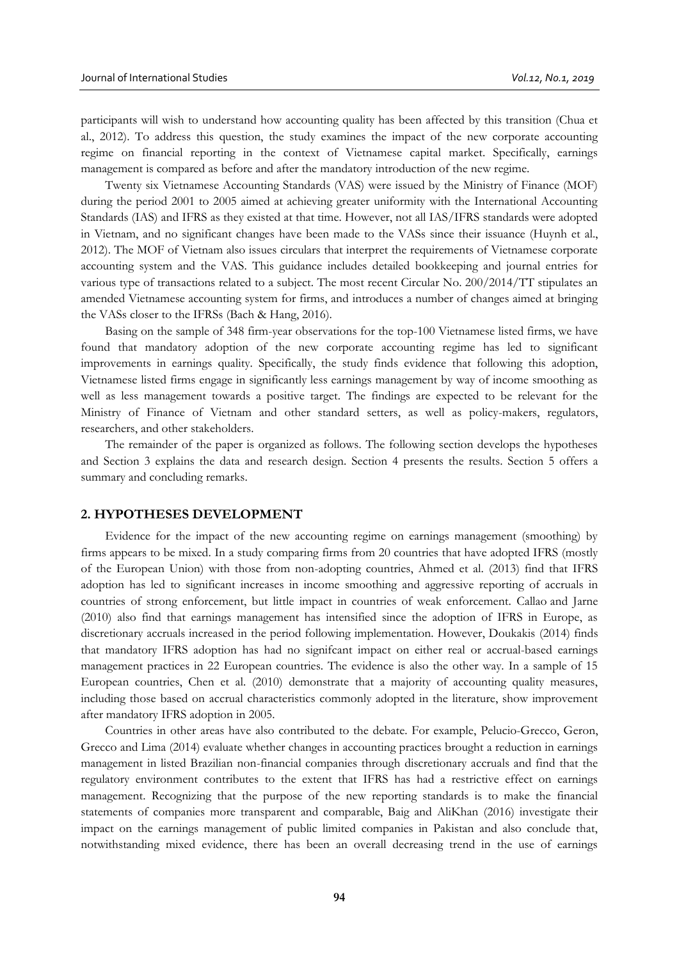participants will wish to understand how accounting quality has been affected by this transition (Chua et al., 2012). To address this question, the study examines the impact of the new corporate accounting regime on financial reporting in the context of Vietnamese capital market. Specifically, earnings management is compared as before and after the mandatory introduction of the new regime.

Twenty six Vietnamese Accounting Standards (VAS) were issued by the Ministry of Finance (MOF) during the period 2001 to 2005 aimed at achieving greater uniformity with the International Accounting Standards (IAS) and IFRS as they existed at that time. However, not all IAS/IFRS standards were adopted in Vietnam, and no significant changes have been made to the VASs since their issuance (Huynh et al., 2012). The MOF of Vietnam also issues circulars that interpret the requirements of Vietnamese corporate accounting system and the VAS. This guidance includes detailed bookkeeping and journal entries for various type of transactions related to a subject. The most recent Circular No. 200/2014/TT stipulates an amended Vietnamese accounting system for firms, and introduces a number of changes aimed at bringing the VASs closer to the IFRSs (Bach & Hang, 2016).

Basing on the sample of 348 firm-year observations for the top-100 Vietnamese listed firms, we have found that mandatory adoption of the new corporate accounting regime has led to significant improvements in earnings quality. Specifically, the study finds evidence that following this adoption, Vietnamese listed firms engage in significantly less earnings management by way of income smoothing as well as less management towards a positive target. The findings are expected to be relevant for the Ministry of Finance of Vietnam and other standard setters, as well as policy-makers, regulators, researchers, and other stakeholders.

The remainder of the paper is organized as follows. The following section develops the hypotheses and Section 3 explains the data and research design. Section 4 presents the results. Section 5 offers a summary and concluding remarks.

#### **2. HYPOTHESES DEVELOPMENT**

Evidence for the impact of the new accounting regime on earnings management (smoothing) by firms appears to be mixed. In a study comparing firms from 20 countries that have adopted IFRS (mostly of the European Union) with those from non-adopting countries, Ahmed et al. (2013) find that IFRS adoption has led to significant increases in income smoothing and aggressive reporting of accruals in countries of strong enforcement, but little impact in countries of weak enforcement. Callao and Jarne (2010) also find that earnings management has intensified since the adoption of IFRS in Europe, as discretionary accruals increased in the period following implementation. However, Doukakis (2014) finds that mandatory IFRS adoption has had no signifcant impact on either real or accrual-based earnings management practices in 22 European countries. The evidence is also the other way. In a sample of 15 European countries, Chen et al. (2010) demonstrate that a majority of accounting quality measures, including those based on accrual characteristics commonly adopted in the literature, show improvement after mandatory IFRS adoption in 2005.

Countries in other areas have also contributed to the debate. For example, Pelucio-Grecco, [Geron,](https://www.sciencedirect.com/science/article/pii/S1566014114000405#!) Grecco and Lima (2014) evaluate whether changes in accounting practices brought a reduction in earnings management in listed Brazilian non-financial companies through discretionary accruals and find that the regulatory environment contributes to the extent that IFRS has had a restrictive effect on earnings management. Recognizing that the purpose of the new reporting standards is to make the financial statements of companies more transparent and comparable, Baig and AliKhan (2016) investigate their impact on the earnings management of public limited companies in Pakistan and also conclude that, notwithstanding mixed evidence, there has been an overall decreasing trend in the use of earnings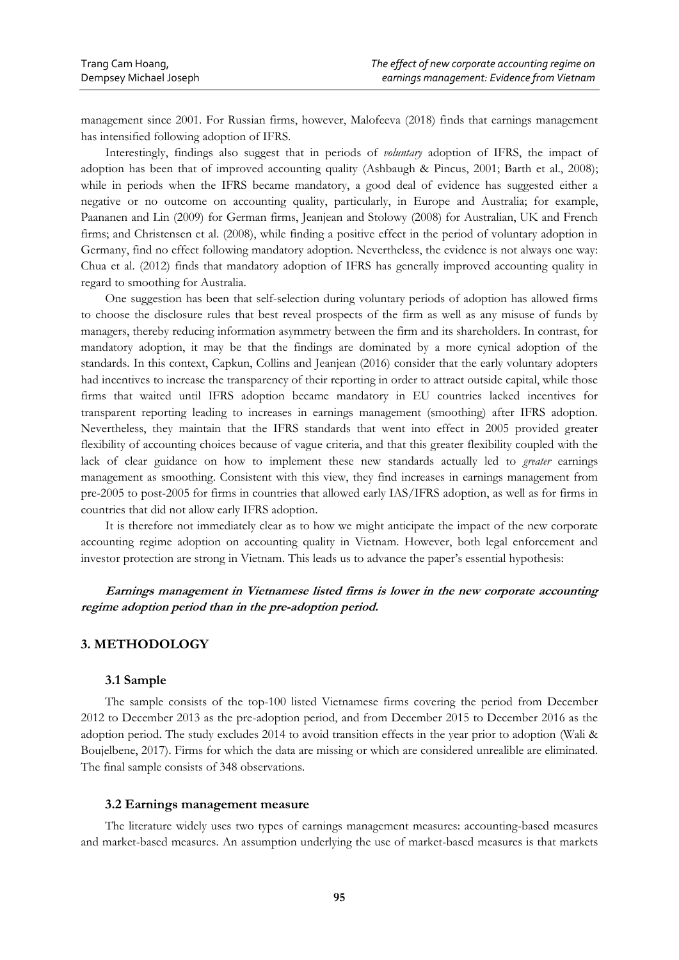management since 2001. For Russian firms, however, Malofeeva (2018) finds that earnings management has intensified following adoption of IFRS.

Interestingly, findings also suggest that in periods of *voluntary* adoption of IFRS, the impact of adoption has been that of improved accounting quality (Ashbaugh & Pincus, 2001; Barth et al., 2008); while in periods when the IFRS became mandatory, a good deal of evidence has suggested either a negative or no outcome on accounting quality, particularly, in Europe and Australia; for example, Paananen and Lin (2009) for German firms, Jeanjean and Stolowy (2008) for Australian, UK and French firms; and Christensen et al. (2008), while finding a positive effect in the period of voluntary adoption in Germany, find no effect following mandatory adoption. Nevertheless, the evidence is not always one way: Chua et al. (2012) finds that mandatory adoption of IFRS has generally improved accounting quality in regard to smoothing for Australia.

One suggestion has been that self-selection during voluntary periods of adoption has allowed firms to choose the disclosure rules that best reveal prospects of the firm as well as any misuse of funds by managers, thereby reducing information asymmetry between the firm and its shareholders. In contrast, for mandatory adoption, it may be that the findings are dominated by a more cynical adoption of the standards. In this context, Capkun, Collins and Jeanjean (2016) consider that the early voluntary adopters had incentives to increase the transparency of their reporting in order to attract outside capital, while those firms that waited until IFRS adoption became mandatory in EU countries lacked incentives for transparent reporting leading to increases in earnings management (smoothing) after IFRS adoption. Nevertheless, they maintain that the IFRS standards that went into effect in 2005 provided greater flexibility of accounting choices because of vague criteria, and that this greater flexibility coupled with the lack of clear guidance on how to implement these new standards actually led to *greater* earnings management as smoothing. Consistent with this view, they find increases in earnings management from pre-2005 to post-2005 for firms in countries that allowed early IAS/IFRS adoption, as well as for firms in countries that did not allow early IFRS adoption.

It is therefore not immediately clear as to how we might anticipate the impact of the new corporate accounting regime adoption on accounting quality in Vietnam. However, both legal enforcement and investor protection are strong in Vietnam. This leads us to advance the paper's essential hypothesis:

**Earnings management in Vietnamese listed firms is lower in the new corporate accounting regime adoption period than in the pre-adoption period.** 

# **3. METHODOLOGY**

# **3.1 Sample**

The sample consists of the top-100 listed Vietnamese firms covering the period from December 2012 to December 2013 as the pre-adoption period, and from December 2015 to December 2016 as the adoption period. The study excludes 2014 to avoid transition effects in the year prior to adoption (Wali & Boujelbene, 2017). Firms for which the data are missing or which are considered unrealible are eliminated. The final sample consists of 348 observations.

### **3.2 Earnings management measure**

The literature widely uses two types of earnings management measures: accounting-based measures and market-based measures. An assumption underlying the use of market-based measures is that markets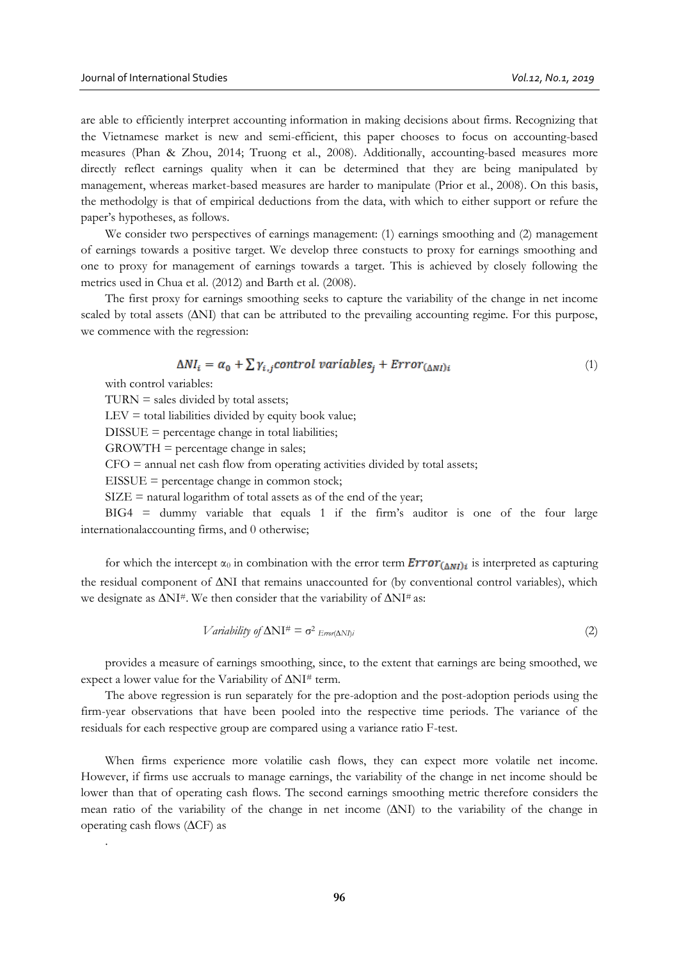are able to efficiently interpret accounting information in making decisions about firms. Recognizing that the Vietnamese market is new and semi-efficient, this paper chooses to focus on accounting-based measures (Phan & Zhou, 2014; Truong et al., 2008). Additionally, accounting-based measures more directly reflect earnings quality when it can be determined that they are being manipulated by management, whereas market-based measures are harder to manipulate (Prior et al., 2008). On this basis, the methodolgy is that of empirical deductions from the data, with which to either support or refure the paper's hypotheses, as follows.

We consider two perspectives of earnings management: (1) earnings smoothing and (2) management of earnings towards a positive target. We develop three constucts to proxy for earnings smoothing and one to proxy for management of earnings towards a target. This is achieved by closely following the metrics used in Chua et al. (2012) and Barth et al. (2008).

The first proxy for earnings smoothing seeks to capture the variability of the change in net income scaled by total assets (∆NI) that can be attributed to the prevailing accounting regime. For this purpose, we commence with the regression:

$$
\Delta NI_i = \alpha_0 + \sum \gamma_{i,j} \text{control variables}_i + \text{Error}_{(\Delta NI)i} \tag{1}
$$

with control variables:

.

 $TURN = sales divided by total assets;$ 

 $LEV =$  total liabilities divided by equity book value;

 $DISSUE = percentage change in total liabilities;$ 

 $GROWTH = percentage change in sales;$ 

 $CFO =$  annual net cash flow from operating activities divided by total assets;

 $EISSUE = percentage change in common stock;$ 

 $SIZE = natural logarithm of total assets as of the end of the year;$ 

BIG4 = dummy variable that equals 1 if the firm's auditor is one of the four large internationalaccounting firms, and 0 otherwise;

for which the intercept  $\alpha_0$  in combination with the error term  $Error_{(\Delta NI)i}$  is interpreted as capturing the residual component of ∆NI that remains unaccounted for (by conventional control variables), which we designate as  $\Delta$ NI#. We then consider that the variability of  $\Delta$ NI# as:

$$
Variableity of \Delta NI^{\#} = \sigma^2_{Error(\Delta NI)i}
$$
\n<sup>(2)</sup>

provides a measure of earnings smoothing, since, to the extent that earnings are being smoothed, we expect a lower value for the Variability of ∆NI# term.

The above regression is run separately for the pre-adoption and the post-adoption periods using the firm-year observations that have been pooled into the respective time periods. The variance of the residuals for each respective group are compared using a variance ratio F-test.

When firms experience more volatilie cash flows, they can expect more volatile net income. However, if firms use accruals to manage earnings, the variability of the change in net income should be lower than that of operating cash flows. The second earnings smoothing metric therefore considers the mean ratio of the variability of the change in net income (∆NI) to the variability of the change in operating cash flows (∆CF) as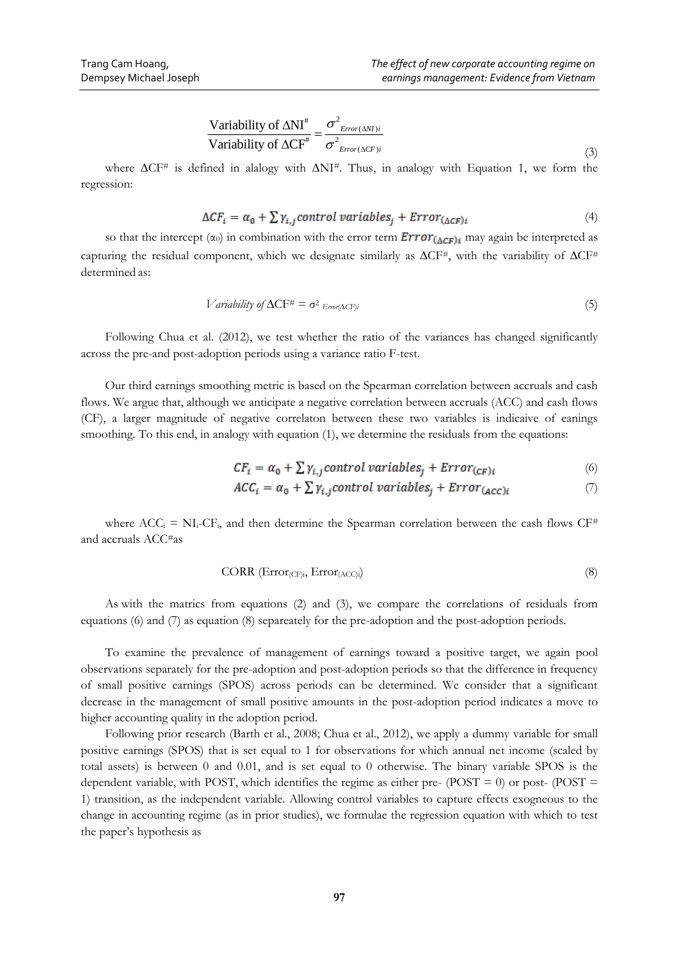$$
\frac{\text{Variability of }\Delta\text{NI}^*}{\text{Variability of }\Delta\text{CF}^*} = \frac{\sigma^2_{Error(\Delta\text{NI})i}}{\sigma^2_{Error(\Delta\text{CF})i}}
$$
(3)

where  $ΔCF#$  is defined in alalogy with  $ΔNI#$ . Thus, in analogy with Equation 1, we form the regression:

$$
\Delta CF_i = \alpha_0 + \sum \gamma_{i,j} \text{control variables}_j + \text{Error}_{(\Delta CF)i} \tag{4}
$$

so that the intercept  $(\alpha_0)$  in combination with the error term  $Error_{(\Delta CF)i}$  may again be interpreted as capturing the residual component, which we designate similarly as  $\Delta$ CF<sup>#</sup>, with the variability of  $\Delta$ CF<sup>#</sup> determined as:

$$
Variableity of \Delta CF^{\#} = \sigma^2 \text{Error}(\Delta CF)i
$$
\n<sup>(5)</sup>

Following Chua et al. (2012), we test whether the ratio of the variances has changed significantly across the pre-and post-adoption periods using a variance ratio F-test.

Our third earnings smoothing metric is based on the Spearman correlation between accruals and cash flows. We argue that, although we anticipate a negative correlation between accruals (ACC) and cash flows (CF), a larger magnitude of negative correlaton between these two variables is indicaive of eanings smoothing. To this end, in analogy with equation (1), we determine the residuals from the equations:

$$
CF_i = \alpha_0 + \sum \gamma_{i,j} \text{control variables}_i + Error_{(CF)i} \tag{6}
$$

$$
ACC_i = \alpha_0 + \sum \gamma_{i,j} control\ variables_j + Error_{(ACC)i}
$$
 (7)

where  $ACC_i = NI_i-CF_i$ , and then determine the Spearman correlation between the cash flows  $CF^*$ and accruals ACC#as

CORR 
$$
(Error_{(CF)i}, Error_{(ACC)i})
$$
 (8)

As with the matrics from equations (2) and (3), we compare the correlations of residuals from equations (6) and (7) as equation (8) separeately for the pre-adoption and the post-adoption periods.

To examine the prevalence of management of earnings toward a positive target, we again pool observations separately for the pre-adoption and post-adoption periods so that the difference in frequency of small positive earnings (SPOS) across periods can be determined. We consider that a significant decrease in the management of small positive amounts in the post-adoption period indicates a move to higher accounting quality in the adoption period.

<sup>#</sup>  $=\frac{\sigma^2}{\sigma^2}$ <br>  $\frac{1}{\sigma^2}$   $\Delta NI^{\#}$ .<br>  $\frac{1}{\sigma^2}$   $\Delta NI^{\#}$ .<br>  $\frac{1}{\sigma^2}$   $\Delta NI^{\#}$ .<br>  $\frac{1}{\sigma^2}$   $\frac{1}{\sigma^2}$   $\frac{1}{\sigma^2}$   $\frac{1}{\sigma^2}$   $\frac{1}{\sigma^2}$   $\frac{1}{\sigma^2}$   $\frac{1}{\sigma^2}$   $\frac{1}{\sigma^2}$   $\frac{1}{\sigma^2}$   $\frac{1}{\sigma^$ Following prior research (Barth et al., 2008; Chua et al., 2012), we apply a dummy variable for small positive earnings (SPOS) that is set equal to 1 for observations for which annual net income (scaled by total assets) is between 0 and 0.01, and is set equal to 0 otherwise. The binary variable SPOS is the dependent variable, with POST, which identifies the regime as either pre-  $(POST = 0)$  or post-  $(POST = 0)$ 1) transition, as the independent variable. Allowing control variables to capture effects exogneous to the change in accounting regime (as in prior studies), we formulae the regression equation with which to test the paper's hypothesis as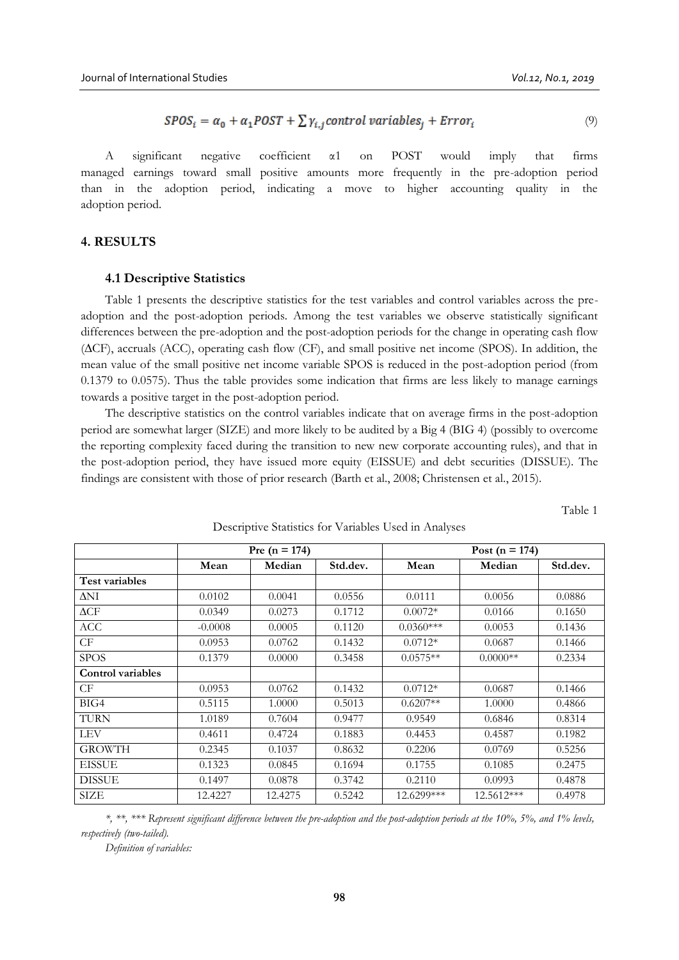$$
SPOSi = \alpha_0 + \alpha_1 POST + \sum \gamma_{i,i} control\ variables_i + Error_i
$$
 (9)

A significant negative coefficient α1 on POST would imply that firms managed earnings toward small positive amounts more frequently in the pre-adoption period than in the adoption period, indicating a move to higher accounting quality in the adoption period.

# **4. RESULTS**

#### **4.1 Descriptive Statistics**

Table 1 presents the descriptive statistics for the test variables and control variables across the preadoption and the post-adoption periods. Among the test variables we observe statistically significant differences between the pre-adoption and the post-adoption periods for the change in operating cash flow (∆CF), accruals (ACC), operating cash flow (CF), and small positive net income (SPOS). In addition, the mean value of the small positive net income variable SPOS is reduced in the post-adoption period (from 0.1379 to 0.0575). Thus the table provides some indication that firms are less likely to manage earnings towards a positive target in the post-adoption period.

The descriptive statistics on the control variables indicate that on average firms in the post-adoption period are somewhat larger (SIZE) and more likely to be audited by a Big 4 (BIG 4) (possibly to overcome the reporting complexity faced during the transition to new new corporate accounting rules), and that in the post-adoption period, they have issued more equity (EISSUE) and debt securities (DISSUE). The findings are consistent with those of prior research (Barth et al., 2008; Christensen et al., 2015).

Table 1

|                          |           | Pre ( $n = 174$ ) |          |             | Post ( $n = 174$ ) |          |
|--------------------------|-----------|-------------------|----------|-------------|--------------------|----------|
|                          | Mean      | Median            | Std.dev. | Mean        | Median             | Std.dev. |
| <b>Test variables</b>    |           |                   |          |             |                    |          |
| $\Delta N I$             | 0.0102    | 0.0041            | 0.0556   | 0.0111      | 0.0056             | 0.0886   |
| $\Delta \text{CF}$       | 0.0349    | 0.0273            | 0.1712   | $0.0072*$   | 0.0166             | 0.1650   |
| <b>ACC</b>               | $-0.0008$ | 0.0005            | 0.1120   | $0.0360***$ | 0.0053             | 0.1436   |
| CF                       | 0.0953    | 0.0762            | 0.1432   | $0.0712*$   | 0.0687             | 0.1466   |
| <b>SPOS</b>              | 0.1379    | 0.0000            | 0.3458   | $0.0575**$  | $0.0000**$         | 0.2334   |
| <b>Control variables</b> |           |                   |          |             |                    |          |
| CF                       | 0.0953    | 0.0762            | 0.1432   | $0.0712*$   | 0.0687             | 0.1466   |
| BIG4                     | 0.5115    | 1.0000            | 0.5013   | $0.6207**$  | 1.0000             | 0.4866   |
| <b>TURN</b>              | 1.0189    | 0.7604            | 0.9477   | 0.9549      | 0.6846             | 0.8314   |
| <b>LEV</b>               | 0.4611    | 0.4724            | 0.1883   | 0.4453      | 0.4587             | 0.1982   |
| <b>GROWTH</b>            | 0.2345    | 0.1037            | 0.8632   | 0.2206      | 0.0769             | 0.5256   |
| <b>EISSUE</b>            | 0.1323    | 0.0845            | 0.1694   | 0.1755      | 0.1085             | 0.2475   |
| DISSUE                   | 0.1497    | 0.0878            | 0.3742   | 0.2110      | 0.0993             | 0.4878   |
| SIZE                     | 12.4227   | 12.4275           | 0.5242   | 12.6299***  | 12.5612***         | 0.4978   |

Descriptive Statistics for Variables Used in Analyses

*\*, \*\*, \*\*\* Represent significant difference between the pre-adoption and the post-adoption periods at the 10%, 5%, and 1% levels, respectively (two-tailed).*

*Definition of variables:*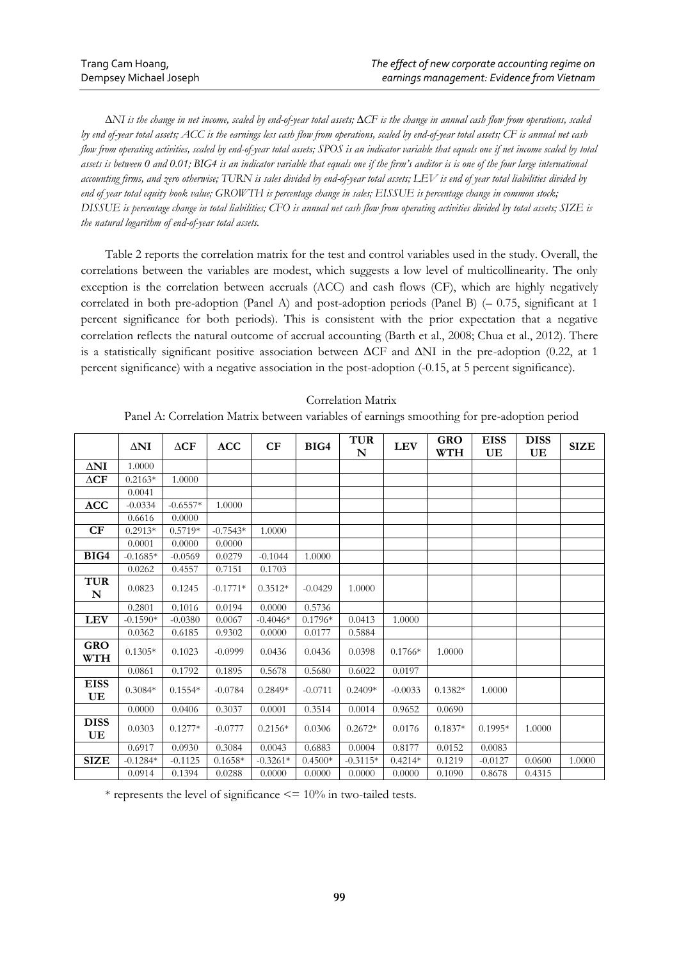∆*NI is the change in net income, scaled by end-of-year total assets;* ∆*CF is the change in annual cash flow from operations, scaled by end of-year total assets; ACC is the earnings less cash flow from operations, scaled by end-of-year total assets; CF is annual net cash flow from operating activities, scaled by end-of-year total assets; SPOS is an indicator variable that equals one if net income scaled by total assets is between 0 and 0.01; BIG4 is an indicator variable that equals one if the firm's auditor is is one of the four large international accounting firms, and zero otherwise; TURN is sales divided by end-of-year total assets; LEV is end of year total liabilities divided by end of year total equity book value; GROWTH is percentage change in sales; EISSUE is percentage change in common stock; DISSUE is percentage change in total liabilities; CFO is annual net cash flow from operating activities divided by total assets; SIZE is the natural logarithm of end-of-year total assets.*

Table 2 reports the correlation matrix for the test and control variables used in the study. Overall, the correlations between the variables are modest, which suggests a low level of multicollinearity. The only exception is the correlation between accruals (ACC) and cash flows (CF), which are highly negatively correlated in both pre-adoption (Panel A) and post-adoption periods (Panel B) (– 0.75, significant at 1 percent significance for both periods). This is consistent with the prior expectation that a negative correlation reflects the natural outcome of accrual accounting (Barth et al., 2008; Chua et al., 2012). There is a statistically significant positive association between ∆CF and ∆NI in the pre-adoption (0.22, at 1 percent significance) with a negative association in the post-adoption (-0.15, at 5 percent significance).

### Correlation Matrix

Panel A: Correlation Matrix between variables of earnings smoothing for pre-adoption period

|                               | $\Delta \mathbf{NI}$ | $\Delta CF$ | <b>ACC</b> | CF         | BIG4      | <b>TUR</b><br>N | <b>LEV</b> | <b>GRO</b><br><b>WTH</b> | <b>EISS</b><br>UE | <b>DISS</b><br>UE | <b>SIZE</b> |
|-------------------------------|----------------------|-------------|------------|------------|-----------|-----------------|------------|--------------------------|-------------------|-------------------|-------------|
| $\Delta$ NI                   | 1.0000               |             |            |            |           |                 |            |                          |                   |                   |             |
| $\Delta \mathbf{C}\mathbf{F}$ | $0.2163*$            | 1.0000      |            |            |           |                 |            |                          |                   |                   |             |
|                               | 0.0041               |             |            |            |           |                 |            |                          |                   |                   |             |
| <b>ACC</b>                    | $-0.0334$            | $-0.6557*$  | 1.0000     |            |           |                 |            |                          |                   |                   |             |
|                               | 0.6616               | 0.0000      |            |            |           |                 |            |                          |                   |                   |             |
| CF                            | $0.2913*$            | $0.5719*$   | $-0.7543*$ | 1.0000     |           |                 |            |                          |                   |                   |             |
|                               | 0.0001               | 0.0000      | 0.0000     |            |           |                 |            |                          |                   |                   |             |
| BIG4                          | $-0.1685*$           | $-0.0569$   | 0.0279     | $-0.1044$  | 1.0000    |                 |            |                          |                   |                   |             |
|                               | 0.0262               | 0.4557      | 0.7151     | 0.1703     |           |                 |            |                          |                   |                   |             |
| <b>TUR</b><br>N               | 0.0823               | 0.1245      | $-0.1771*$ | $0.3512*$  | $-0.0429$ | 1.0000          |            |                          |                   |                   |             |
|                               | 0.2801               | 0.1016      | 0.0194     | 0.0000     | 0.5736    |                 |            |                          |                   |                   |             |
| <b>LEV</b>                    | $-0.1590*$           | $-0.0380$   | 0.0067     | $-0.4046*$ | $0.1796*$ | 0.0413          | 1.0000     |                          |                   |                   |             |
|                               | 0.0362               | 0.6185      | 0.9302     | 0.0000     | 0.0177    | 0.5884          |            |                          |                   |                   |             |
| <b>GRO</b><br><b>WTH</b>      | $0.1305*$            | 0.1023      | $-0.0999$  | 0.0436     | 0.0436    | 0.0398          | $0.1766*$  | 1.0000                   |                   |                   |             |
|                               | 0.0861               | 0.1792      | 0.1895     | 0.5678     | 0.5680    | 0.6022          | 0.0197     |                          |                   |                   |             |
| <b>EISS</b><br>UE             | $0.3084*$            | $0.1554*$   | $-0.0784$  | $0.2849*$  | $-0.0711$ | $0.2409*$       | $-0.0033$  | $0.1382*$                | 1.0000            |                   |             |
|                               | 0.0000               | 0.0406      | 0.3037     | 0.0001     | 0.3514    | 0.0014          | 0.9652     | 0.0690                   |                   |                   |             |
| <b>DISS</b><br>UE             | 0.0303               | $0.1277*$   | $-0.0777$  | $0.2156*$  | 0.0306    | $0.2672*$       | 0.0176     | $0.1837*$                | $0.1995*$         | 1.0000            |             |
|                               | 0.6917               | 0.0930      | 0.3084     | 0.0043     | 0.6883    | 0.0004          | 0.8177     | 0.0152                   | 0.0083            |                   |             |
| <b>SIZE</b>                   | $-0.1284*$           | $-0.1125$   | $0.1658*$  | $-0.3261*$ | $0.4500*$ | $-0.3115*$      | $0.4214*$  | 0.1219                   | $-0.0127$         | 0.0600            | 1.0000      |
|                               | 0.0914               | 0.1394      | 0.0288     | 0.0000     | 0.0000    | 0.0000          | 0.0000     | 0.1090                   | 0.8678            | 0.4315            |             |

\* represents the level of significance  $\leq$  = 10% in two-tailed tests.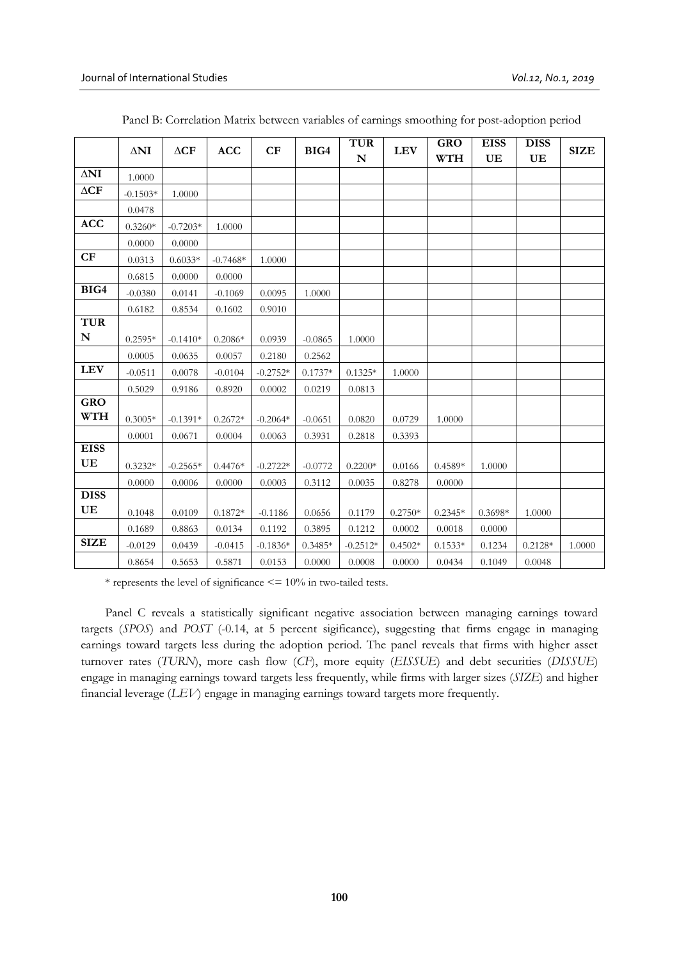|                                                          | $\Delta N I$ | $\Delta \mathbf{C} \mathbf{F}$ | <b>ACC</b> | CF         | BIG4      | <b>TUR</b><br>N | <b>LEV</b> | <b>GRO</b><br><b>WTH</b> | <b>EISS</b><br>UE | <b>DISS</b><br>UE | <b>SIZE</b> |
|----------------------------------------------------------|--------------|--------------------------------|------------|------------|-----------|-----------------|------------|--------------------------|-------------------|-------------------|-------------|
| $\Delta \mathbf{NI}$                                     | 1.0000       |                                |            |            |           |                 |            |                          |                   |                   |             |
| $\Delta \mathbf{C}\mathbf{F}$                            | $-0.1503*$   | 1.0000                         |            |            |           |                 |            |                          |                   |                   |             |
|                                                          | 0.0478       |                                |            |            |           |                 |            |                          |                   |                   |             |
| <b>ACC</b>                                               | $0.3260*$    | $-0.7203*$                     | 1.0000     |            |           |                 |            |                          |                   |                   |             |
|                                                          | 0.0000       | 0.0000                         |            |            |           |                 |            |                          |                   |                   |             |
| CF                                                       | 0.0313       | $0.6033*$                      | $-0.7468*$ | 1.0000     |           |                 |            |                          |                   |                   |             |
|                                                          | 0.6815       | 0.0000                         | 0.0000     |            |           |                 |            |                          |                   |                   |             |
| BIG4                                                     | $-0.0380$    | 0.0141                         | $-0.1069$  | 0.0095     | 1.0000    |                 |            |                          |                   |                   |             |
|                                                          | 0.6182       | 0.8534                         | 0.1602     | 0.9010     |           |                 |            |                          |                   |                   |             |
| <b>TUR</b>                                               |              |                                |            |            |           |                 |            |                          |                   |                   |             |
| N                                                        | $0.2595*$    | $-0.1410*$                     | $0.2086*$  | 0.0939     | $-0.0865$ | 1.0000          |            |                          |                   |                   |             |
|                                                          | 0.0005       | 0.0635                         | 0.0057     | 0.2180     | 0.2562    |                 |            |                          |                   |                   |             |
| <b>LEV</b>                                               | $-0.0511$    | 0.0078                         | $-0.0104$  | $-0.2752*$ | $0.1737*$ | $0.1325*$       | 1.0000     |                          |                   |                   |             |
|                                                          | 0.5029       | 0.9186                         | 0.8920     | 0.0002     | 0.0219    | 0.0813          |            |                          |                   |                   |             |
| <b>GRO</b><br><b>WTH</b>                                 | $0.3005*$    | $-0.1391*$                     | $0.2672*$  | $-0.2064*$ | $-0.0651$ | 0.0820          | 0.0729     | 1.0000                   |                   |                   |             |
|                                                          | 0.0001       | 0.0671                         | 0.0004     | 0.0063     | 0.3931    | 0.2818          | 0.3393     |                          |                   |                   |             |
| <b>EISS</b>                                              |              |                                |            |            |           |                 |            |                          |                   |                   |             |
| $\mathbf{UE}% _{T}=\mathbf{UE}_{T}\times\mathbf{UE}_{T}$ | $0.3232*$    | $-0.2565*$                     | $0.4476*$  | $-0.2722*$ | $-0.0772$ | $0.2200*$       | 0.0166     | $0.4589*$                | 1.0000            |                   |             |
|                                                          | 0.0000       | 0.0006                         | 0.0000     | 0.0003     | 0.3112    | 0.0035          | 0.8278     | 0.0000                   |                   |                   |             |
| <b>DISS</b>                                              |              |                                |            |            |           |                 |            |                          |                   |                   |             |
| UE                                                       | 0.1048       | 0.0109                         | $0.1872*$  | $-0.1186$  | 0.0656    | 0.1179          | $0.2750*$  | $0.2345*$                | $0.3698*$         | 1.0000            |             |
|                                                          | 0.1689       | 0.8863                         | 0.0134     | 0.1192     | 0.3895    | 0.1212          | 0.0002     | 0.0018                   | 0.0000            |                   |             |
| <b>SIZE</b>                                              | $-0.0129$    | 0.0439                         | $-0.0415$  | $-0.1836*$ | $0.3485*$ | $-0.2512*$      | $0.4502*$  | $0.1533*$                | 0.1234            | $0.2128*$         | 1.0000      |
|                                                          | 0.8654       | 0.5653                         | 0.5871     | 0.0153     | 0.0000    | 0.0008          | 0.0000     | 0.0434                   | 0.1049            | 0.0048            |             |

Panel B: Correlation Matrix between variables of earnings smoothing for post-adoption period

 $*$  represents the level of significance  $\leq$  = 10% in two-tailed tests.

Panel C reveals a statistically significant negative association between managing earnings toward targets (*SPOS*) and *POST* (-0.14, at 5 percent sigificance), suggesting that firms engage in managing earnings toward targets less during the adoption period. The panel reveals that firms with higher asset turnover rates (*TURN*), more cash flow (*CF*), more equity (*EISSUE*) and debt securities (*DISSUE*) engage in managing earnings toward targets less frequently, while firms with larger sizes (*SIZE*) and higher financial leverage (*LEV*) engage in managing earnings toward targets more frequently.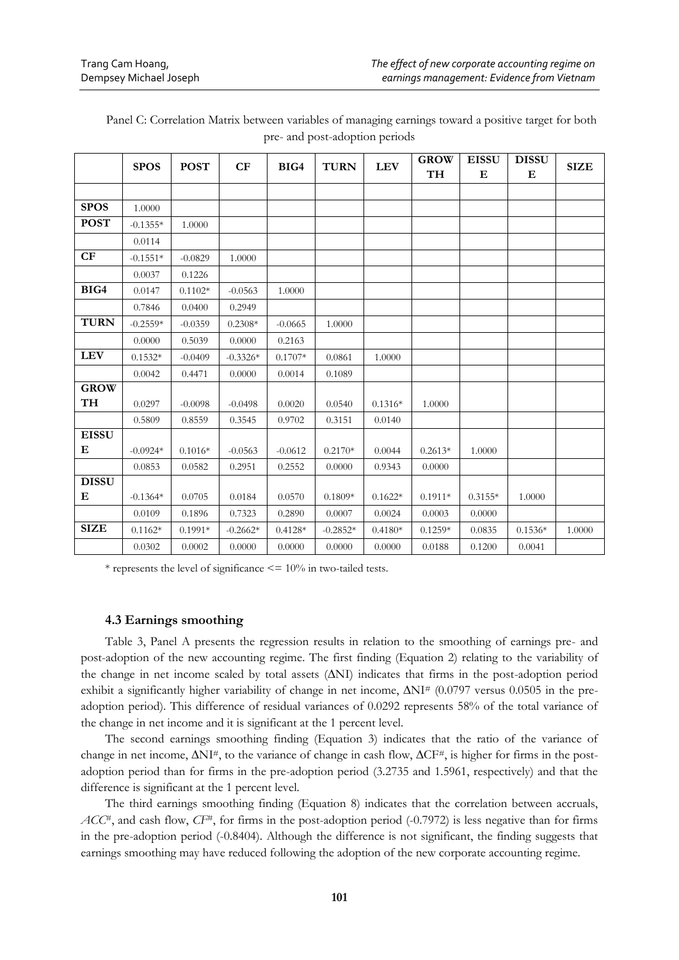|              | <b>SPOS</b> | <b>POST</b> | CF         | BIG4      | <b>TURN</b> | <b>LEV</b> | <b>GROW</b> | <b>EISSU</b> | <b>DISSU</b> | <b>SIZE</b> |
|--------------|-------------|-------------|------------|-----------|-------------|------------|-------------|--------------|--------------|-------------|
|              |             |             |            |           |             |            | TH          | Е            | Е            |             |
|              |             |             |            |           |             |            |             |              |              |             |
| <b>SPOS</b>  | 1.0000      |             |            |           |             |            |             |              |              |             |
| <b>POST</b>  | $-0.1355*$  | 1.0000      |            |           |             |            |             |              |              |             |
|              | 0.0114      |             |            |           |             |            |             |              |              |             |
| CF           | $-0.1551*$  | $-0.0829$   | 1.0000     |           |             |            |             |              |              |             |
|              | 0.0037      | 0.1226      |            |           |             |            |             |              |              |             |
| BIG4         | 0.0147      | $0.1102*$   | $-0.0563$  | 1.0000    |             |            |             |              |              |             |
|              | 0.7846      | 0.0400      | 0.2949     |           |             |            |             |              |              |             |
| <b>TURN</b>  | $-0.2559*$  | $-0.0359$   | $0.2308*$  | $-0.0665$ | 1.0000      |            |             |              |              |             |
|              | 0.0000      | 0.5039      | 0.0000     | 0.2163    |             |            |             |              |              |             |
| <b>LEV</b>   | $0.1532*$   | $-0.0409$   | $-0.3326*$ | $0.1707*$ | 0.0861      | 1.0000     |             |              |              |             |
|              | 0.0042      | 0.4471      | 0.0000     | 0.0014    | 0.1089      |            |             |              |              |             |
| <b>GROW</b>  |             |             |            |           |             |            |             |              |              |             |
| TH           | 0.0297      | $-0.0098$   | $-0.0498$  | 0.0020    | 0.0540      | $0.1316*$  | 1.0000      |              |              |             |
|              | 0.5809      | 0.8559      | 0.3545     | 0.9702    | 0.3151      | 0.0140     |             |              |              |             |
| <b>EISSU</b> |             |             |            |           |             |            |             |              |              |             |
| Е            | $-0.0924*$  | $0.1016*$   | $-0.0563$  | $-0.0612$ | $0.2170*$   | 0.0044     | $0.2613*$   | 1.0000       |              |             |
|              | 0.0853      | 0.0582      | 0.2951     | 0.2552    | 0.0000      | 0.9343     | 0.0000      |              |              |             |
| <b>DISSU</b> |             |             |            |           |             |            |             |              |              |             |
| Е            | $-0.1364*$  | 0.0705      | 0.0184     | 0.0570    | $0.1809*$   | $0.1622*$  | $0.1911*$   | $0.3155*$    | 1.0000       |             |
|              | 0.0109      | 0.1896      | 0.7323     | 0.2890    | 0.0007      | 0.0024     | 0.0003      | 0.0000       |              |             |
| <b>SIZE</b>  | $0.1162*$   | $0.1991*$   | $-0.2662*$ | $0.4128*$ | $-0.2852*$  | $0.4180*$  | $0.1259*$   | 0.0835       | $0.1536*$    | 1.0000      |
|              | 0.0302      | 0.0002      | 0.0000     | 0.0000    | 0.0000      | 0.0000     | 0.0188      | 0.1200       | 0.0041       |             |

Panel C: Correlation Matrix between variables of managing earnings toward a positive target for both pre- and post-adoption periods

 $*$  represents the level of significance  $\leq$  = 10% in two-tailed tests.

### **4.3 Earnings smoothing**

Table 3, Panel A presents the regression results in relation to the smoothing of earnings pre- and post-adoption of the new accounting regime. The first finding (Equation 2) relating to the variability of the change in net income scaled by total assets (∆NI) indicates that firms in the post-adoption period exhibit a significantly higher variability of change in net income,  $\Delta NI^{#}$  (0.0797 versus 0.0505 in the preadoption period). This difference of residual variances of 0.0292 represents 58% of the total variance of the change in net income and it is significant at the 1 percent level.

The second earnings smoothing finding (Equation 3) indicates that the ratio of the variance of change in net income, ∆NI#, to the variance of change in cash flow, ∆CF#, is higher for firms in the postadoption period than for firms in the pre-adoption period (3.2735 and 1.5961, respectively) and that the difference is significant at the 1 percent level.

The third earnings smoothing finding (Equation 8) indicates that the correlation between accruals,  $ACC^*$ , and cash flow,  $CF^*$ , for firms in the post-adoption period (-0.7972) is less negative than for firms in the pre-adoption period (-0.8404). Although the difference is not significant, the finding suggests that earnings smoothing may have reduced following the adoption of the new corporate accounting regime.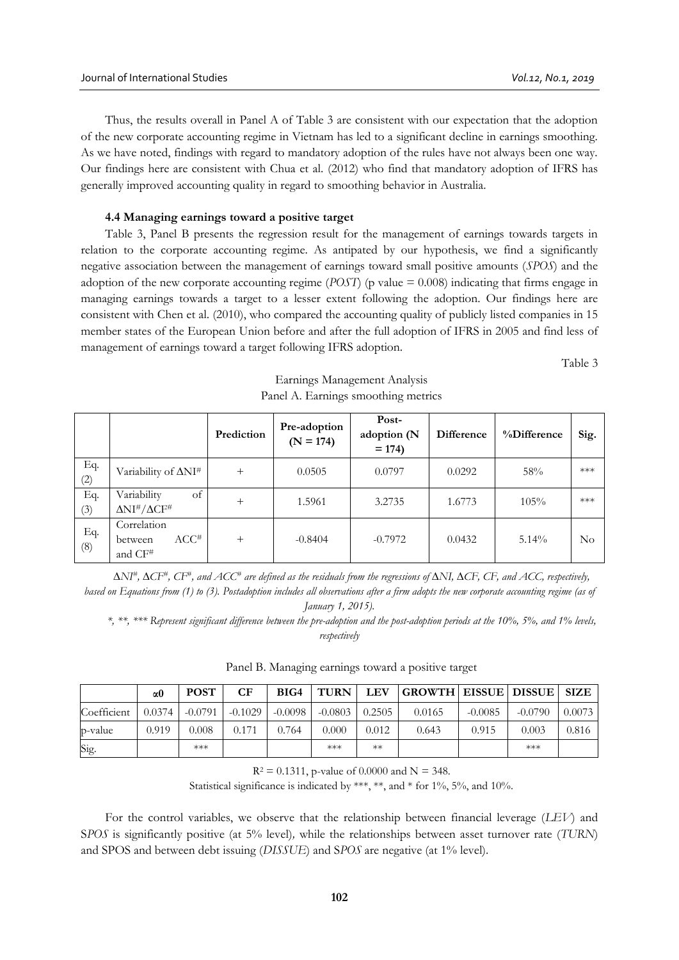Thus, the results overall in Panel A of Table 3 are consistent with our expectation that the adoption of the new corporate accounting regime in Vietnam has led to a significant decline in earnings smoothing. As we have noted, findings with regard to mandatory adoption of the rules have not always been one way. Our findings here are consistent with Chua et al. (2012) who find that mandatory adoption of IFRS has generally improved accounting quality in regard to smoothing behavior in Australia.

# **4.4 Managing earnings toward a positive target**

Table 3, Panel B presents the regression result for the management of earnings towards targets in relation to the corporate accounting regime. As antipated by our hypothesis, we find a significantly negative association between the management of earnings toward small positive amounts (*SPOS*) and the adoption of the new corporate accounting regime (*POST*) (p value = 0.008) indicating that firms engage in managing earnings towards a target to a lesser extent following the adoption. Our findings here are consistent with Chen et al. (2010), who compared the accounting quality of publicly listed companies in 15 member states of the European Union before and after the full adoption of IFRS in 2005 and find less of management of earnings toward a target following IFRS adoption.

Table 3

|            |                                                                          | Prediction | Pre-adoption<br>$(N = 174)$ | Post-<br>adoption (N<br>$= 174$ | <b>Difference</b> | %Difference | Sig. |
|------------|--------------------------------------------------------------------------|------------|-----------------------------|---------------------------------|-------------------|-------------|------|
| Eq.<br>(2) | Variability of ΔNI <sup>#</sup>                                          | $^{+}$     | 0.0505                      | 0.0797                          | 0.0292            | 58%         | ***  |
| Eq.<br>(3) | Variability<br>of<br>$\Delta$ NI <sup>#</sup> / $\Delta$ CF <sup>#</sup> | $^+$       | 1.5961                      | 3.2735                          | 1.6773            | 105%        | ***  |
| Eq.<br>(8) | Correlation<br>$ACC^*$<br>between<br>and CF <sup>#</sup>                 | $^{+}$     | $-0.8404$                   | $-0.7972$                       | 0.0432            | $5.14\%$    | No   |

# Earnings Management Analysis Panel A. Earnings smoothing metrics

*∆NI# , ∆CF# , CF# , and ACC# are defined as the residuals from the regressions of ∆NI, ∆CF, CF, and ACC, respectively, based on Equations from (1) to (3). Postadoption includes all observations after a firm adopts the new corporate accounting regime (as of January 1, 2015).*

*\*, \*\*, \*\*\* Represent significant difference between the pre-adoption and the post-adoption periods at the 10%, 5%, and 1% levels, respectively*

|             | $\alpha$ 0 | <b>POST</b> | CF        | BIG4      | <b>TURN</b> | <b>LEV</b> | <b>GROWTH EISSUE DISSUE SIZE</b> |           |           |        |
|-------------|------------|-------------|-----------|-----------|-------------|------------|----------------------------------|-----------|-----------|--------|
| Coefficient | 0.0374     | $-0.0791$   | $-0.1029$ | $-0.0098$ | $-0.0803$   | 0.2505     | 0.0165                           | $-0.0085$ | $-0.0790$ | 0.0073 |
| p-value     | 0.919      | 0.008       | 0.171     | 0.764     | 0.000       | 0.012      | 0.643                            | 0.915     | 0.003     | 0.816  |
| Sig.        |            | $***$       |           |           | ***         | $**$       |                                  |           | ***       |        |

# Panel B. Managing earnings toward a positive target

 $R^2 = 0.1311$ , p-value of 0.0000 and N = 348.

Statistical significance is indicated by \*\*\*, \*\*, and \* for 1%, 5%, and 10%.

For the control variables, we observe that the relationship between financial leverage (*LEV*) and S*POS* is significantly positive (at 5% level)*,* while the relationships between asset turnover rate (*TURN*) and SPOS and between debt issuing (*DISSUE*) and S*POS* are negative (at 1% level).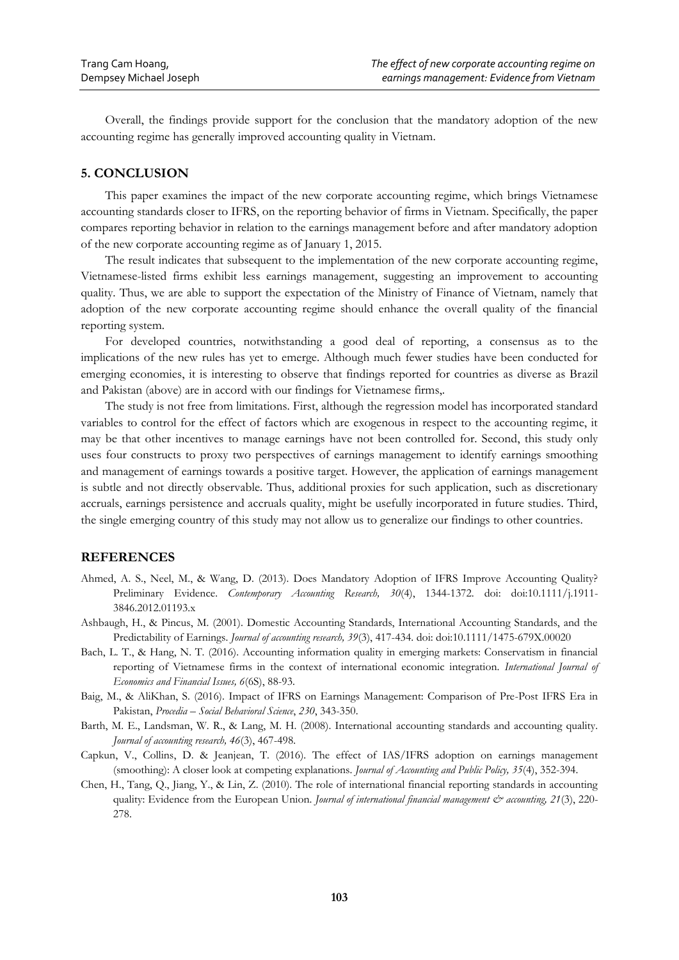Overall, the findings provide support for the conclusion that the mandatory adoption of the new accounting regime has generally improved accounting quality in Vietnam.

# **5. CONCLUSION**

This paper examines the impact of the new corporate accounting regime, which brings Vietnamese accounting standards closer to IFRS, on the reporting behavior of firms in Vietnam. Specifically, the paper compares reporting behavior in relation to the earnings management before and after mandatory adoption of the new corporate accounting regime as of January 1, 2015.

The result indicates that subsequent to the implementation of the new corporate accounting regime, Vietnamese-listed firms exhibit less earnings management, suggesting an improvement to accounting quality. Thus, we are able to support the expectation of the Ministry of Finance of Vietnam, namely that adoption of the new corporate accounting regime should enhance the overall quality of the financial reporting system.

For developed countries, notwithstanding a good deal of reporting, a consensus as to the implications of the new rules has yet to emerge. Although much fewer studies have been conducted for emerging economies, it is interesting to observe that findings reported for countries as diverse as Brazil and Pakistan (above) are in accord with our findings for Vietnamese firms,.

The study is not free from limitations. First, although the regression model has incorporated standard variables to control for the effect of factors which are exogenous in respect to the accounting regime, it may be that other incentives to manage earnings have not been controlled for. Second, this study only uses four constructs to proxy two perspectives of earnings management to identify earnings smoothing and management of earnings towards a positive target. However, the application of earnings management is subtle and not directly observable. Thus, additional proxies for such application, such as discretionary accruals, earnings persistence and accruals quality, might be usefully incorporated in future studies. Third, the single emerging country of this study may not allow us to generalize our findings to other countries.

# **REFERENCES**

- Ahmed, A. S., Neel, M., & Wang, D. (2013). Does Mandatory Adoption of IFRS Improve Accounting Quality? Preliminary Evidence. *Contemporary Accounting Research, 30*(4), 1344-1372. doi: doi:10.1111/j.1911- 3846.2012.01193.x
- Ashbaugh, H., & Pincus, M. (2001). Domestic Accounting Standards, International Accounting Standards, and the Predictability of Earnings. *Journal of accounting research, 39*(3), 417-434. doi: doi:10.1111/1475-679X.00020
- Bach, L. T., & Hang, N. T. (2016). Accounting information quality in emerging markets: Conservatism in financial reporting of Vietnamese firms in the context of international economic integration. *International Journal of Economics and Financial Issues, 6*(6S), 88-93.
- Baig, M., & AliKhan, S. (2016). Impact of IFRS on Earnings Management: Comparison of Pre-Post IFRS Era in Pakistan, *Procedia – Social Behavioral Science*, *230*, 343-350.
- Barth, M. E., Landsman, W. R., & Lang, M. H. (2008). International accounting standards and accounting quality. *Journal of accounting research, 46*(3), 467-498.
- Capkun, V., Collins, D. & Jeanjean, T. (2016). The effect of IAS/IFRS adoption on earnings management (smoothing): A closer look at competing explanations. *Journal of Accounting and Public Policy, 35*(4), 352-394.
- Chen, H., Tang, Q., Jiang, Y., & Lin, Z. (2010). The role of international financial reporting standards in accounting quality: Evidence from the European Union. *Journal of international financial management & accounting*, 21(3), 220-278.